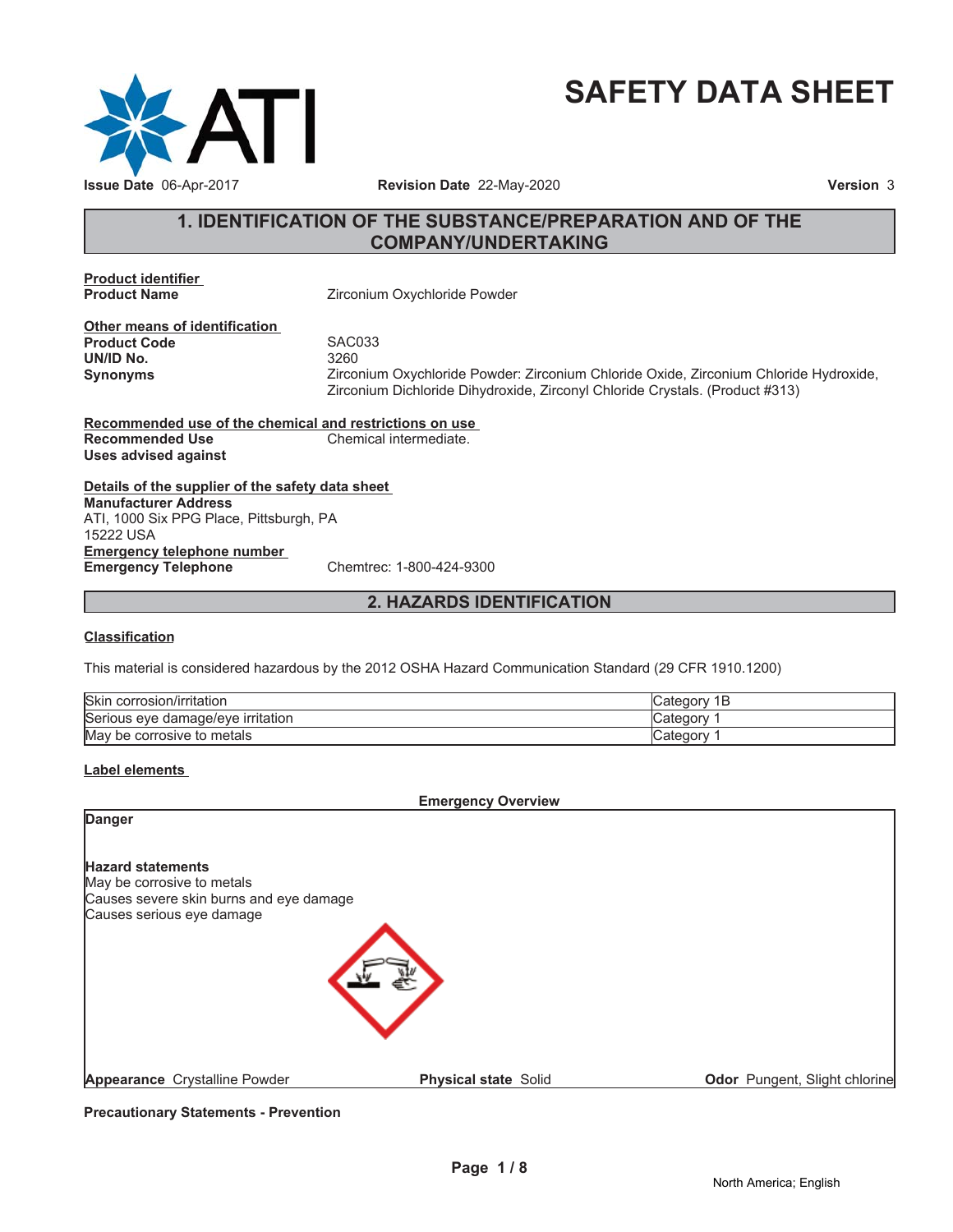

# **SAFETY DATA SHEET**

# **1. IDENTIFICATION OF THE SUBSTANCE/PREPARATION AND OF THE COMPANY/UNDERTAKING**

**Product identifier**

**Zirconium Oxychloride Powder** 

**Other means of identification Product Code 5AC033**<br> **UN/ID No.** 3260 **UN/ID No.** 

**Synonyms** Zirconium Oxychloride Powder: Zirconium Chloride Oxide, Zirconium Chloride Hydroxide, Zirconium Dichloride Dihydroxide, Zirconyl Chloride Crystals. (Product #313)

**Recommended use of the chemical and restrictions on use Recommended Use Chemical intermediate. Uses advised against**

**Details of the supplier of the safety data sheet Emergency telephone number Emergency Telephone** Chemtrec: 1-800-424-9300 **Manufacturer Address** ATI, 1000 Six PPG Place, Pittsburgh, PA 15222 USA

# **2. HAZARDS IDENTIFICATION**

#### **Classification**

This material is considered hazardous by the 2012 OSHA Hazard Communication Standard (29 CFR 1910.1200)

| <b>Skin</b><br>. .<br>∟corrosıon/ırrıtatıon | Cate<br>D |
|---------------------------------------------|-----------|
| Serious eve<br>irritation<br>e damage/eve e | ategor: ت |
| May<br>metals<br>' be corrosive to          | ∴categor  |

### **Label elements**

**Emergency Overview**

| <b>Danger</b>                                                                                                                  |                             |                               |
|--------------------------------------------------------------------------------------------------------------------------------|-----------------------------|-------------------------------|
| <b>Hazard statements</b><br>May be corrosive to metals<br>Causes severe skin burns and eye damage<br>Causes serious eye damage |                             |                               |
|                                                                                                                                |                             |                               |
| Appearance Crystalline Powder                                                                                                  | <b>Physical state Solid</b> | Odor Pungent, Slight chlorine |

**Precautionary Statements - Prevention**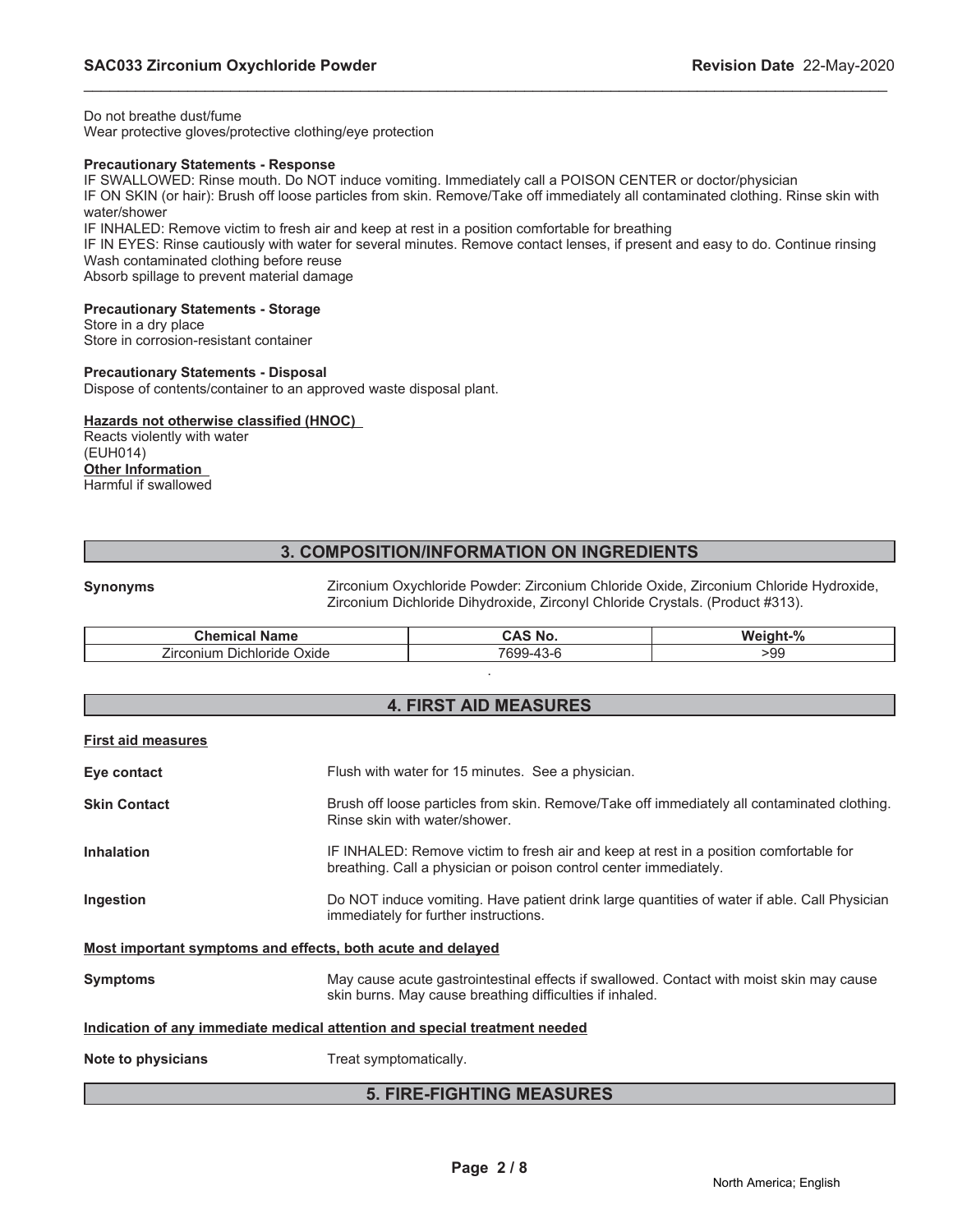Do not breathe dust/fume Wear protective gloves/protective clothing/eye protection

#### **Precautionary Statements - Response**

IF SWALLOWED: Rinse mouth. Do NOT induce vomiting. Immediately call a POISON CENTER or doctor/physician

IF ON SKIN (or hair): Brush off loose particles from skin. Remove/Take off immediately all contaminated clothing. Rinse skin with water/shower

\_\_\_\_\_\_\_\_\_\_\_\_\_\_\_\_\_\_\_\_\_\_\_\_\_\_\_\_\_\_\_\_\_\_\_\_\_\_\_\_\_\_\_\_\_\_\_\_\_\_\_\_\_\_\_\_\_\_\_\_\_\_\_\_\_\_\_\_\_\_\_\_\_\_\_\_\_\_\_\_\_\_\_\_\_\_\_\_\_\_\_\_\_

IF INHALED: Remove victim to fresh air and keep at rest in a position comfortable for breathing

IF IN EYES: Rinse cautiously with water for several minutes. Remove contact lenses, if present and easy to do. Continue rinsing Wash contaminated clothing before reuse

Absorb spillage to prevent material damage

#### **Precautionary Statements - Storage**

Store in a dry place Store in corrosion-resistant container

#### **Precautionary Statements - Disposal**

Dispose of contents/container to an approved waste disposal plant.

#### **Hazards not otherwise classified (HNOC)**

Reacts violently with water (EUH014) **Other Information** Harmful if swallowed

# **3. COMPOSITION/INFORMATION ON INGREDIENTS**

**Synonyms** Zirconium Oxychloride Powder: Zirconium Chloride Oxide, Zirconium Chloride Hydroxide, Zirconium Dichloride Dihydroxide, Zirconyl Chloride Crystals. (Product #313).

| Chemical<br><b>Name</b>                      | <b>CAS No.</b>                     | $M$ ainht-%<br>70 |
|----------------------------------------------|------------------------------------|-------------------|
| -<br><b>Oxide</b><br>Dichloride<br>/irconium | 10 <sub>0</sub><br>7699-4.<br>.3-r | >99               |
|                                              |                                    |                   |

# **4. FIRST AID MEASURES**

| <b>First aid measures</b>                                                  |                                                                                                                                                            |  |  |
|----------------------------------------------------------------------------|------------------------------------------------------------------------------------------------------------------------------------------------------------|--|--|
| Eye contact                                                                | Flush with water for 15 minutes. See a physician.                                                                                                          |  |  |
| <b>Skin Contact</b>                                                        | Brush off loose particles from skin. Remove/Take off immediately all contaminated clothing.<br>Rinse skin with water/shower.                               |  |  |
| <b>Inhalation</b>                                                          | IF INHALED: Remove victim to fresh air and keep at rest in a position comfortable for<br>breathing. Call a physician or poison control center immediately. |  |  |
| Ingestion                                                                  | Do NOT induce vomiting. Have patient drink large quantities of water if able. Call Physician<br>immediately for further instructions.                      |  |  |
| Most important symptoms and effects, both acute and delayed                |                                                                                                                                                            |  |  |
| <b>Symptoms</b>                                                            | May cause acute gastrointestinal effects if swallowed. Contact with moist skin may cause<br>skin burns. May cause breathing difficulties if inhaled.       |  |  |
| Indication of any immediate medical attention and special treatment needed |                                                                                                                                                            |  |  |
| Note to physicians                                                         | Treat symptomatically.                                                                                                                                     |  |  |
| <b>5. FIRE-FIGHTING MEASURES</b>                                           |                                                                                                                                                            |  |  |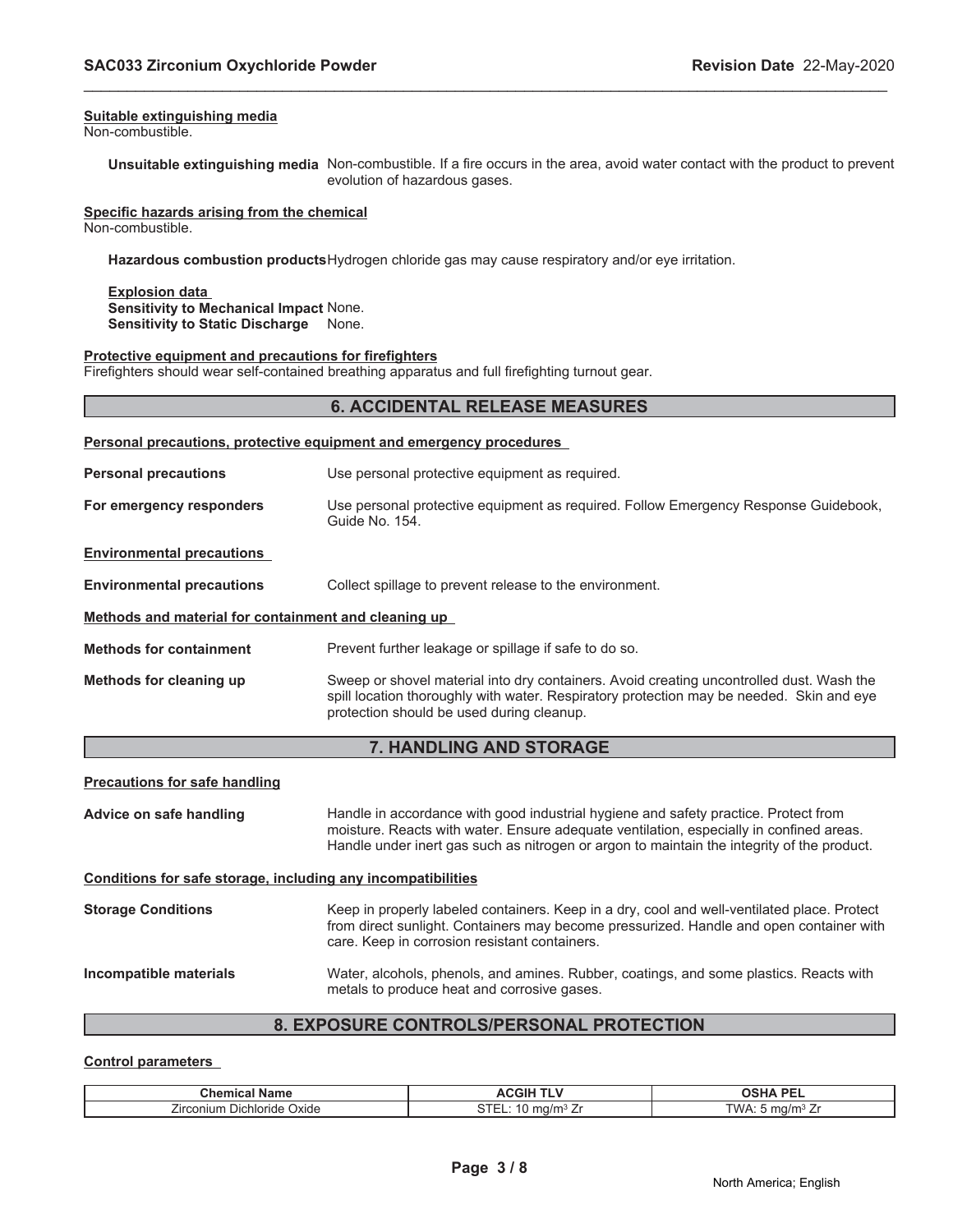#### **Suitable extinguishing media**

Non-combustible.

**Unsuitable extinguishing media** Non-combustible. If a fire occurs in the area, avoid water contact with the product to prevent evolution of hazardous gases.

\_\_\_\_\_\_\_\_\_\_\_\_\_\_\_\_\_\_\_\_\_\_\_\_\_\_\_\_\_\_\_\_\_\_\_\_\_\_\_\_\_\_\_\_\_\_\_\_\_\_\_\_\_\_\_\_\_\_\_\_\_\_\_\_\_\_\_\_\_\_\_\_\_\_\_\_\_\_\_\_\_\_\_\_\_\_\_\_\_\_\_\_\_

#### **Specific hazards arising from the chemical**

Non-combustible.

**Hazardous combustion products**Hydrogen chloride gas may cause respiratory and/or eye irritation.

#### **Explosion data Sensitivity to Mechanical Impact** None. **Sensitivity to Static Discharge** None.

#### **Protective equipment and precautions for firefighters**

Firefighters should wear self-contained breathing apparatus and full firefighting turnout gear.

|                                                                     | <b>6. ACCIDENTAL RELEASE MEASURES</b>                                                                                                                                                                                                                                        |  |  |
|---------------------------------------------------------------------|------------------------------------------------------------------------------------------------------------------------------------------------------------------------------------------------------------------------------------------------------------------------------|--|--|
| Personal precautions, protective equipment and emergency procedures |                                                                                                                                                                                                                                                                              |  |  |
| <b>Personal precautions</b>                                         | Use personal protective equipment as required.                                                                                                                                                                                                                               |  |  |
| For emergency responders                                            | Use personal protective equipment as required. Follow Emergency Response Guidebook,<br>Guide No. 154.                                                                                                                                                                        |  |  |
| <b>Environmental precautions</b>                                    |                                                                                                                                                                                                                                                                              |  |  |
| <b>Environmental precautions</b>                                    | Collect spillage to prevent release to the environment.                                                                                                                                                                                                                      |  |  |
| Methods and material for containment and cleaning up                |                                                                                                                                                                                                                                                                              |  |  |
| <b>Methods for containment</b>                                      | Prevent further leakage or spillage if safe to do so.                                                                                                                                                                                                                        |  |  |
| Methods for cleaning up                                             | Sweep or shovel material into dry containers. Avoid creating uncontrolled dust. Wash the<br>spill location thoroughly with water. Respiratory protection may be needed. Skin and eye<br>protection should be used during cleanup.                                            |  |  |
|                                                                     | 7. HANDLING AND STORAGE                                                                                                                                                                                                                                                      |  |  |
| <b>Precautions for safe handling</b>                                |                                                                                                                                                                                                                                                                              |  |  |
| Advice on safe handling                                             | Handle in accordance with good industrial hygiene and safety practice. Protect from<br>moisture. Reacts with water. Ensure adequate ventilation, especially in confined areas.<br>Handle under inert gas such as nitrogen or argon to maintain the integrity of the product. |  |  |
| Conditions for safe storage, including any incompatibilities        |                                                                                                                                                                                                                                                                              |  |  |
| <b>Storage Conditions</b>                                           | Keep in properly labeled containers. Keep in a dry, cool and well-ventilated place. Protect<br>from direct sunlight. Containers may become pressurized. Handle and open container with<br>care. Keep in corrosion resistant containers.                                      |  |  |
| Incompatible materials                                              | Water, alcohols, phenols, and amines. Rubber, coatings, and some plastics. Reacts with<br>metals to produce heat and corrosive gases.                                                                                                                                        |  |  |

# **8. EXPOSURE CONTROLS/PERSONAL PROTECTION**

### **Control parameters**

| ъ.<br>emical Name                                              | жн<br>.              | JA DEI          |
|----------------------------------------------------------------|----------------------|-----------------|
| -<br>-<br>$-11000cm =$<br>: Oxide<br>∠irconium<br>⊦ Dichioriae | na/m<br>_<br>$\cdot$ | `WA<br>7/m<br>m |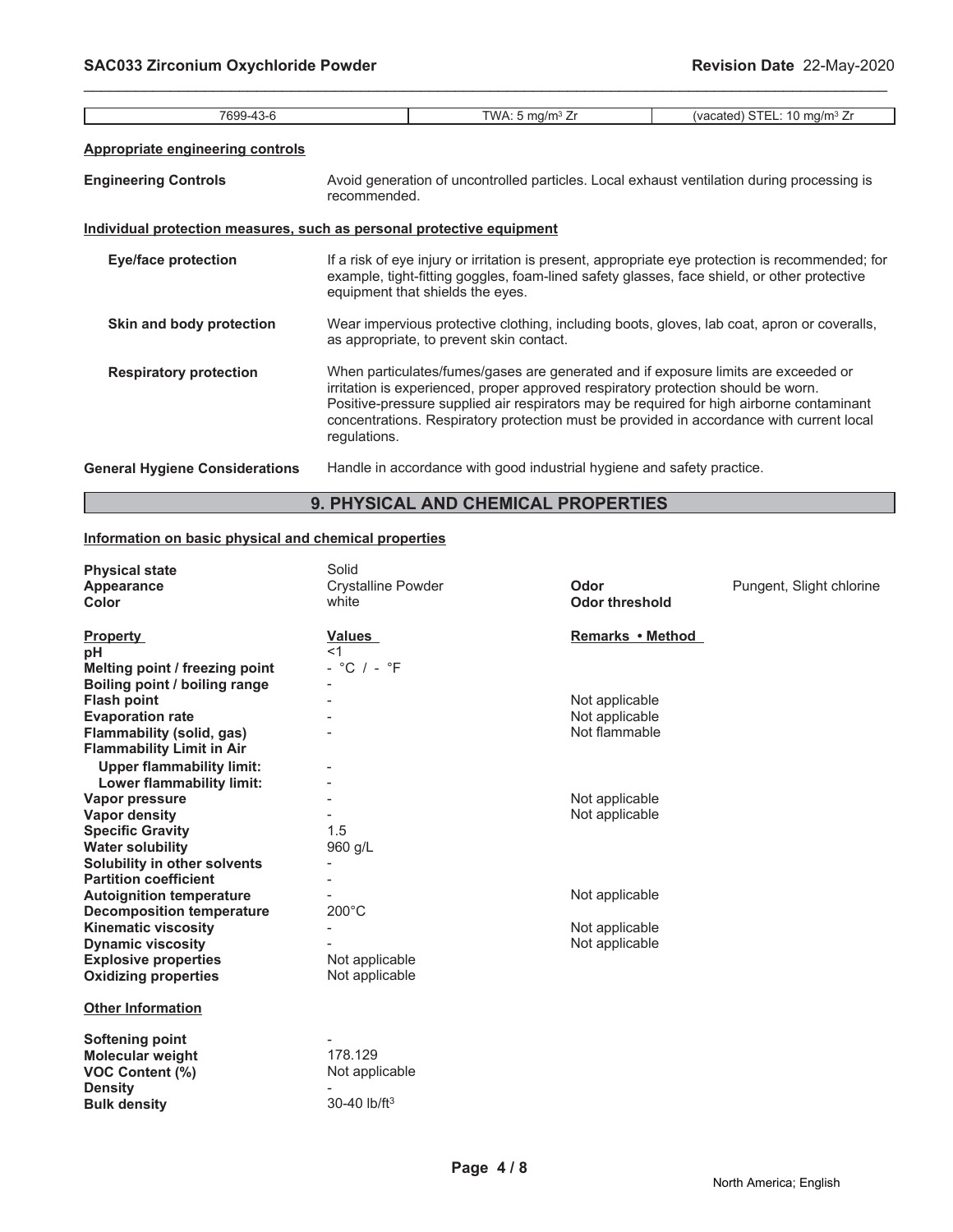| 7699-43-6                                                             |                                                                                                                                                                                                                                     | TWA: $5 \text{ mg/m}^3$ Zr                                                                                                                                                                                                                                                                                                                                      | (vacated) STEL: 10 mg/m <sup>3</sup> Zr |
|-----------------------------------------------------------------------|-------------------------------------------------------------------------------------------------------------------------------------------------------------------------------------------------------------------------------------|-----------------------------------------------------------------------------------------------------------------------------------------------------------------------------------------------------------------------------------------------------------------------------------------------------------------------------------------------------------------|-----------------------------------------|
| <b>Appropriate engineering controls</b>                               |                                                                                                                                                                                                                                     |                                                                                                                                                                                                                                                                                                                                                                 |                                         |
| <b>Engineering Controls</b>                                           | Avoid generation of uncontrolled particles. Local exhaust ventilation during processing is<br>recommended.                                                                                                                          |                                                                                                                                                                                                                                                                                                                                                                 |                                         |
| Individual protection measures, such as personal protective equipment |                                                                                                                                                                                                                                     |                                                                                                                                                                                                                                                                                                                                                                 |                                         |
| Eye/face protection                                                   | If a risk of eye injury or irritation is present, appropriate eye protection is recommended; for<br>example, tight-fitting goggles, foam-lined safety glasses, face shield, or other protective<br>equipment that shields the eyes. |                                                                                                                                                                                                                                                                                                                                                                 |                                         |
| Skin and body protection                                              | Wear impervious protective clothing, including boots, gloves, lab coat, apron or coveralls,<br>as appropriate, to prevent skin contact.                                                                                             |                                                                                                                                                                                                                                                                                                                                                                 |                                         |
| <b>Respiratory protection</b>                                         | regulations.                                                                                                                                                                                                                        | When particulates/fumes/gases are generated and if exposure limits are exceeded or<br>irritation is experienced, proper approved respiratory protection should be worn.<br>Positive-pressure supplied air respirators may be required for high airborne contaminant<br>concentrations. Respiratory protection must be provided in accordance with current local |                                         |
| <b>General Hygiene Considerations</b>                                 |                                                                                                                                                                                                                                     | Handle in accordance with good industrial hygiene and safety practice.                                                                                                                                                                                                                                                                                          |                                         |
|                                                                       |                                                                                                                                                                                                                                     | <b>9. PHYSICAL AND CHEMICAL PROPERTIES</b>                                                                                                                                                                                                                                                                                                                      |                                         |

\_\_\_\_\_\_\_\_\_\_\_\_\_\_\_\_\_\_\_\_\_\_\_\_\_\_\_\_\_\_\_\_\_\_\_\_\_\_\_\_\_\_\_\_\_\_\_\_\_\_\_\_\_\_\_\_\_\_\_\_\_\_\_\_\_\_\_\_\_\_\_\_\_\_\_\_\_\_\_\_\_\_\_\_\_\_\_\_\_\_\_\_\_

# **Information on basic physical and chemical properties**

| <b>Physical state</b>            | Solid                     |                       |                          |
|----------------------------------|---------------------------|-----------------------|--------------------------|
| Appearance                       | <b>Crystalline Powder</b> | Odor                  | Pungent, Slight chlorine |
| <b>Color</b>                     | white                     | <b>Odor threshold</b> |                          |
| <b>Property</b>                  | Values                    | Remarks • Method      |                          |
| pH                               | $<$ 1                     |                       |                          |
| Melting point / freezing point   | $-$ °C $/ -$ °F           |                       |                          |
| Boiling point / boiling range    |                           |                       |                          |
| <b>Flash point</b>               |                           | Not applicable        |                          |
| <b>Evaporation rate</b>          |                           | Not applicable        |                          |
| Flammability (solid, gas)        |                           | Not flammable         |                          |
| <b>Flammability Limit in Air</b> |                           |                       |                          |
| <b>Upper flammability limit:</b> |                           |                       |                          |
| Lower flammability limit:        |                           |                       |                          |
| Vapor pressure                   |                           | Not applicable        |                          |
| <b>Vapor density</b>             |                           | Not applicable        |                          |
| <b>Specific Gravity</b>          | 1.5                       |                       |                          |
| <b>Water solubility</b>          | 960 g/L                   |                       |                          |
| Solubility in other solvents     |                           |                       |                          |
| <b>Partition coefficient</b>     | $\overline{\phantom{0}}$  |                       |                          |
| <b>Autoignition temperature</b>  |                           | Not applicable        |                          |
| <b>Decomposition temperature</b> | $200^{\circ}$ C           |                       |                          |
| <b>Kinematic viscosity</b>       |                           | Not applicable        |                          |
| <b>Dynamic viscosity</b>         |                           | Not applicable        |                          |
| <b>Explosive properties</b>      | Not applicable            |                       |                          |
| <b>Oxidizing properties</b>      | Not applicable            |                       |                          |
| <b>Other Information</b>         |                           |                       |                          |
| <b>Softening point</b>           |                           |                       |                          |
| <b>Molecular weight</b>          | 178.129                   |                       |                          |
| <b>VOC Content (%)</b>           | Not applicable            |                       |                          |
| <b>Density</b>                   |                           |                       |                          |
| <b>Bulk density</b>              | 30-40 lb/ft <sup>3</sup>  |                       |                          |
|                                  |                           |                       |                          |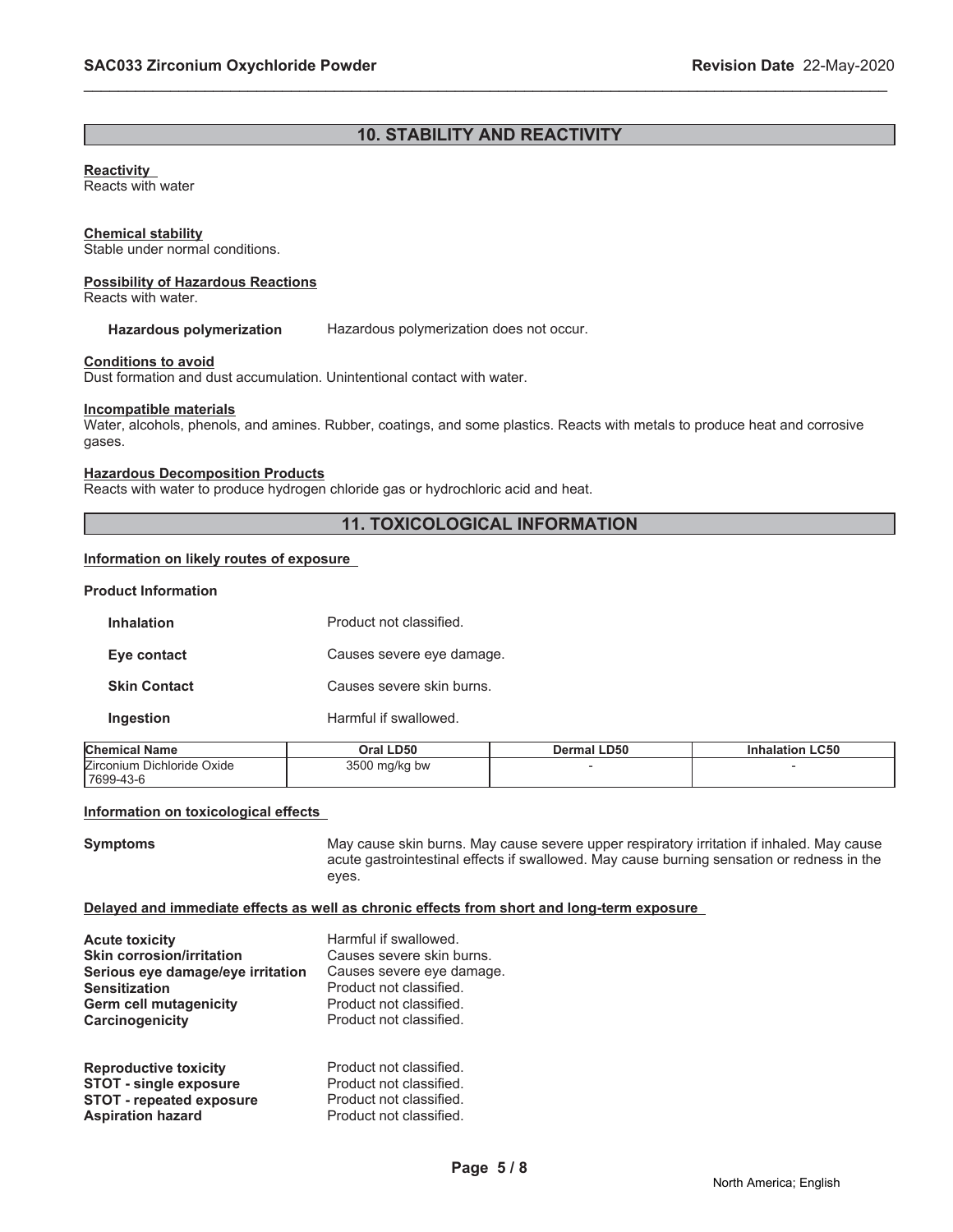# **10. STABILITY AND REACTIVITY**

\_\_\_\_\_\_\_\_\_\_\_\_\_\_\_\_\_\_\_\_\_\_\_\_\_\_\_\_\_\_\_\_\_\_\_\_\_\_\_\_\_\_\_\_\_\_\_\_\_\_\_\_\_\_\_\_\_\_\_\_\_\_\_\_\_\_\_\_\_\_\_\_\_\_\_\_\_\_\_\_\_\_\_\_\_\_\_\_\_\_\_\_\_

#### **Reactivity**

Reacts with water

#### **Chemical stability**

Stable under normal conditions.

# **Possibility of Hazardous Reactions**

Reacts with water.

**Hazardous polymerization** Hazardous polymerization does not occur.

#### **Conditions to avoid**

Dust formation and dust accumulation. Unintentional contact with water.

#### **Incompatible materials**

Water, alcohols, phenols, and amines. Rubber, coatings, and some plastics. Reacts with metals to produce heat and corrosive gases.

#### **Hazardous Decomposition Products**

Reacts with water to produce hydrogen chloride gas or hydrochloric acid and heat.

# **11. TOXICOLOGICAL INFORMATION**

#### **Information on likely routes of exposure**

#### **Product Information**

| <b>Inhalation</b>   | Product not classified    |
|---------------------|---------------------------|
| Eye contact         | Causes severe eye damage. |
| <b>Skin Contact</b> | Causes severe skin burns. |
| Ingestion           | Harmful if swallowed.     |

| <b>Chemical Name</b>                     | Oral LD50     | <b>Dermal LD50</b> | <b>Inhalation LC50</b> |
|------------------------------------------|---------------|--------------------|------------------------|
| Zirconium Dichloride Oxide<br>17699-43-6 | 3500 mg/kg bw |                    |                        |

#### **Information on toxicological effects**

**Symptoms** May cause skin burns. May cause severe upper respiratory irritation if inhaled. May cause acute gastrointestinal effects if swallowed. May cause burning sensation or redness in the eyes.

#### **Delayed and immediate effects as well as chronic effects from short and long-term exposure**

| <b>Acute toxicity</b>             | Harmful if swallowed.     |
|-----------------------------------|---------------------------|
| <b>Skin corrosion/irritation</b>  | Causes severe skin burns. |
| Serious eye damage/eye irritation | Causes severe eye damage. |
| <b>Sensitization</b>              | Product not classified.   |
| <b>Germ cell mutagenicity</b>     | Product not classified.   |
| Carcinogenicity                   | Product not classified.   |
| <b>Reproductive toxicity</b>      | Product not classified.   |
| <b>STOT - single exposure</b>     | Product not classified.   |
| <b>STOT - repeated exposure</b>   | Product not classified.   |
| <b>Aspiration hazard</b>          | Product not classified.   |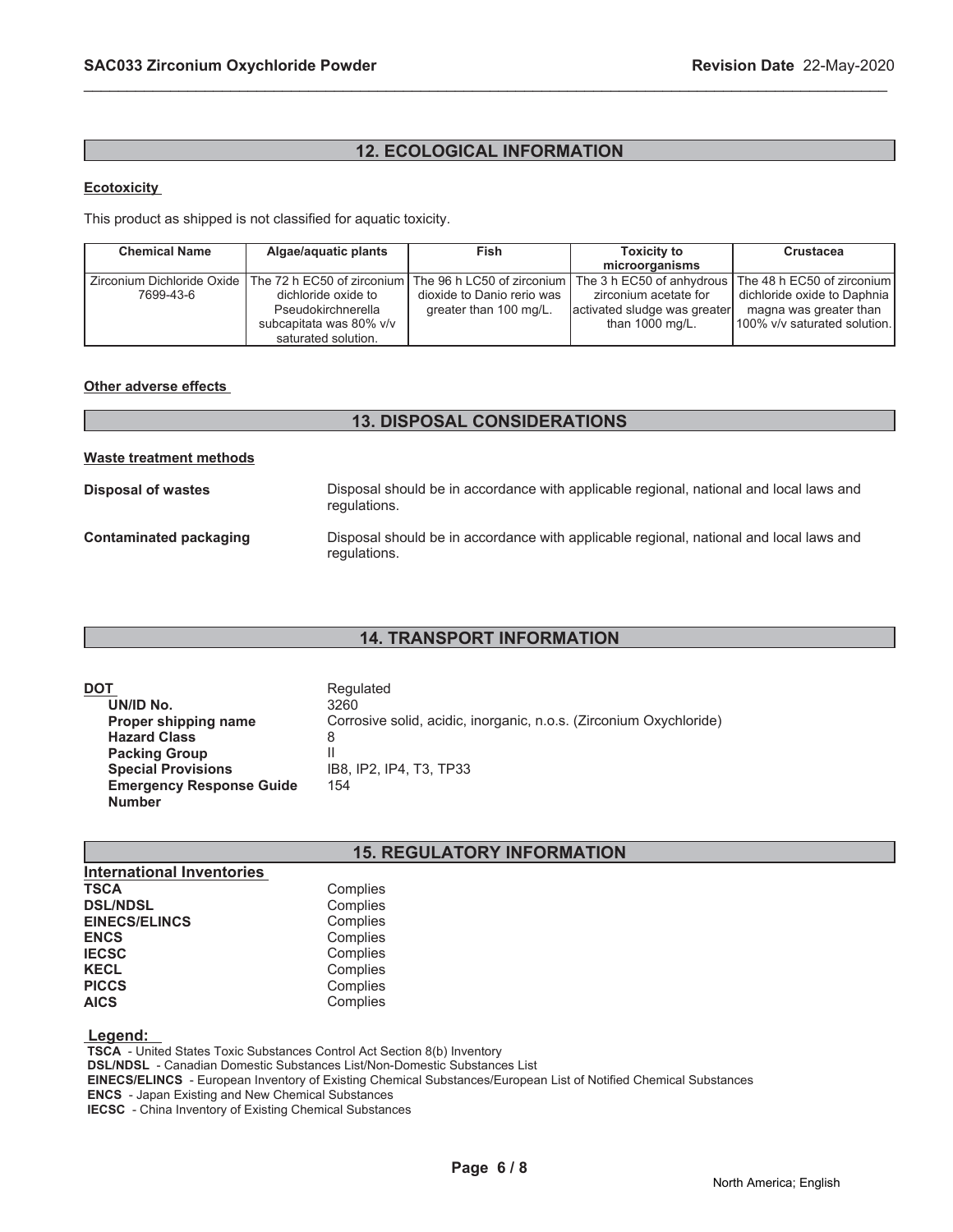# **12. ECOLOGICAL INFORMATION**

\_\_\_\_\_\_\_\_\_\_\_\_\_\_\_\_\_\_\_\_\_\_\_\_\_\_\_\_\_\_\_\_\_\_\_\_\_\_\_\_\_\_\_\_\_\_\_\_\_\_\_\_\_\_\_\_\_\_\_\_\_\_\_\_\_\_\_\_\_\_\_\_\_\_\_\_\_\_\_\_\_\_\_\_\_\_\_\_\_\_\_\_\_

# **Ecotoxicity**

This product as shipped is not classified for aquatic toxicity.

| <b>Chemical Name</b> | Algae/aguatic plants                                  | Fish                       | <b>Toxicity to</b>                                     | <b>Crustacea</b>             |
|----------------------|-------------------------------------------------------|----------------------------|--------------------------------------------------------|------------------------------|
|                      |                                                       |                            | microorganisms                                         |                              |
|                      | Zirconium Dichloride Oxide The 72 h EC50 of zirconium |                            | The 96 h LC50 of zirconium   The 3 h EC50 of anhydrous | The 48 h EC50 of zirconium l |
| 7699-43-6            | dichloride oxide to                                   | dioxide to Danio rerio was | zirconium acetate for                                  | dichloride oxide to Daphnia  |
|                      | Pseudokirchnerella                                    | greater than 100 mg/L.     | activated sludge was greater                           | magna was greater than       |
|                      | subcapitata was 80% v/v                               |                            | than $1000 \text{ mg/L}$ .                             | 100% v/v saturated solution. |
|                      | saturated solution.                                   |                            |                                                        |                              |

#### **Other adverse effects**

# **13. DISPOSAL CONSIDERATIONS Waste treatment methods Disposal of wastes** Disposal should be in accordance with applicable regional, national and local laws and regulations. **Contaminated packaging** Disposal should be in accordance with applicable regional, national and local laws and regulations.

# **14. TRANSPORT INFORMATION**

| DOT                             | Regulated                                                          |
|---------------------------------|--------------------------------------------------------------------|
|                                 |                                                                    |
| UN/ID No.                       | 3260                                                               |
| Proper shipping name            | Corrosive solid, acidic, inorganic, n.o.s. (Zirconium Oxychloride) |
| <b>Hazard Class</b>             | 8                                                                  |
| <b>Packing Group</b>            |                                                                    |
| <b>Special Provisions</b>       | IB8. IP2. IP4. T3. TP33                                            |
| <b>Emergency Response Guide</b> | 154                                                                |
| <b>Number</b>                   |                                                                    |

# **15. REGULATORY INFORMATION**

| <b>International Inventories</b> |          |
|----------------------------------|----------|
| <b>TSCA</b>                      | Complies |
| <b>DSL/NDSL</b>                  | Complies |
| <b>EINECS/ELINCS</b>             | Complies |
| <b>ENCS</b>                      | Complies |
| <b>IECSC</b>                     | Complies |
| <b>KECL</b>                      | Complies |
| <b>PICCS</b>                     | Complies |
| <b>AICS</b>                      | Complies |

# **Legend:**

 **TSCA** - United States Toxic Substances Control Act Section 8(b) Inventory  **DSL/NDSL** - Canadian Domestic Substances List/Non-Domestic Substances List  **EINECS/ELINCS** - European Inventory of Existing Chemical Substances/European List of Notified Chemical Substances  **ENCS** - Japan Existing and New Chemical Substances  **IECSC** - China Inventory of Existing Chemical Substances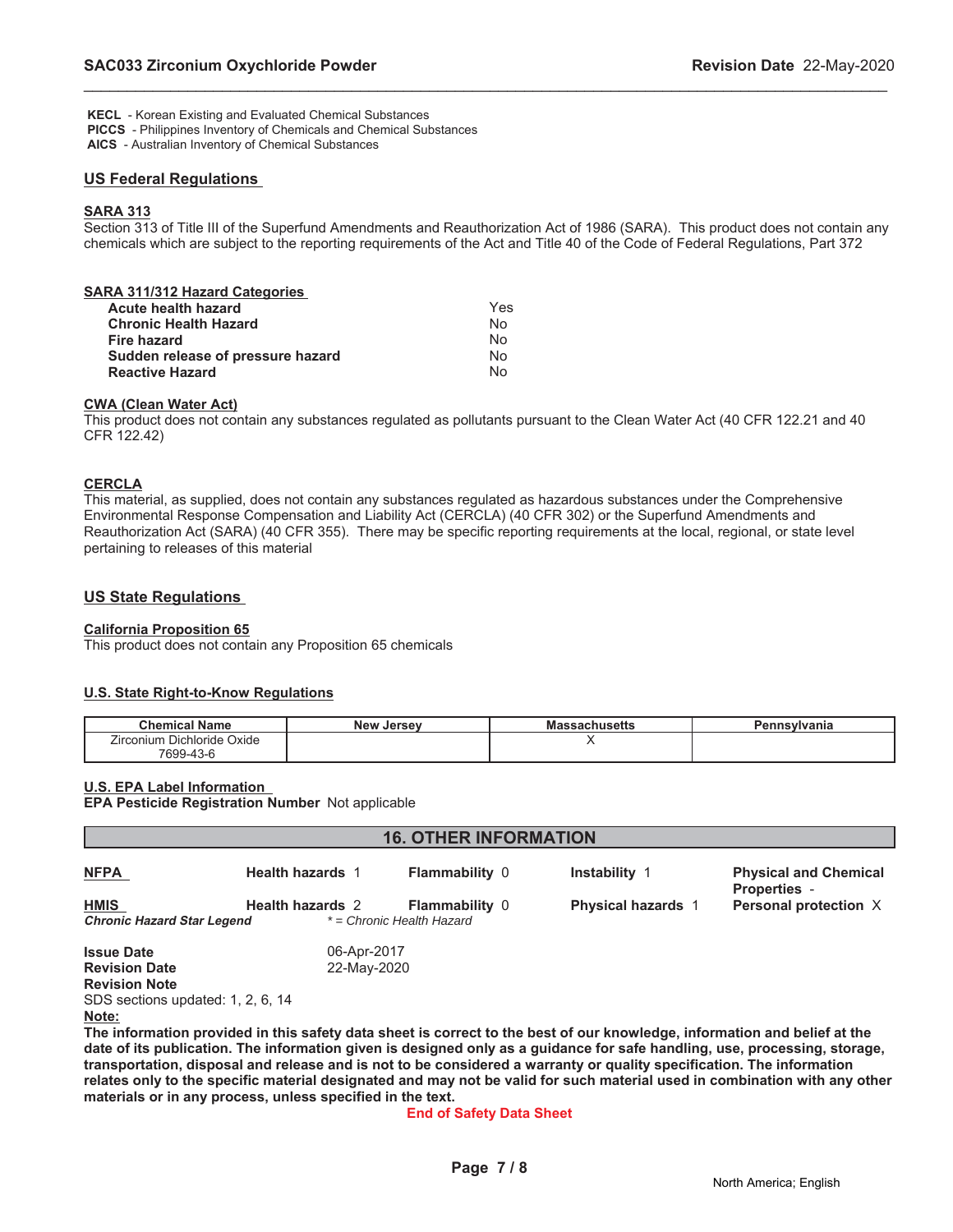**KECL** - Korean Existing and Evaluated Chemical Substances  **PICCS** - Philippines Inventory of Chemicals and Chemical Substances  **AICS** - Australian Inventory of Chemical Substances

#### **US Federal Regulations**

#### **SARA 313**

Section 313 of Title III of the Superfund Amendments and Reauthorization Act of 1986 (SARA). This product does not contain any chemicals which are subject to the reporting requirements of the Act and Title 40 of the Code of Federal Regulations, Part 372

\_\_\_\_\_\_\_\_\_\_\_\_\_\_\_\_\_\_\_\_\_\_\_\_\_\_\_\_\_\_\_\_\_\_\_\_\_\_\_\_\_\_\_\_\_\_\_\_\_\_\_\_\_\_\_\_\_\_\_\_\_\_\_\_\_\_\_\_\_\_\_\_\_\_\_\_\_\_\_\_\_\_\_\_\_\_\_\_\_\_\_\_\_

| <b>SARA 311/312 Hazard Categories</b> |     |
|---------------------------------------|-----|
| <b>Acute health hazard</b>            | Yes |
| <b>Chronic Health Hazard</b>          | No  |
| Fire hazard                           | No  |
| Sudden release of pressure hazard     | No  |
| <b>Reactive Hazard</b>                | N٥  |

#### **CWA (Clean Water Act)**

This product does not contain any substances regulated as pollutants pursuant to the Clean Water Act (40 CFR 122.21 and 40 CFR 122.42)

# **CERCLA**

This material, as supplied, does not contain any substances regulated as hazardous substances under the Comprehensive Environmental Response Compensation and Liability Act (CERCLA) (40 CFR 302) or the Superfund Amendments and Reauthorization Act (SARA) (40 CFR 355). There may be specific reporting requirements at the local, regional, or state level pertaining to releases of this material

#### **US State Regulations**

#### **California Proposition 65**

This product does not contain any Proposition 65 chemicals

#### **U.S. State Right-to-Know Regulations**

| <b>Chemical Name</b>                          | <b>New Jersey</b> | ssachusetts<br>ma: | Pennsylvania |
|-----------------------------------------------|-------------------|--------------------|--------------|
| - -<br>--<br>Dichloride<br>'irconium<br>Oxide |                   |                    |              |
| )ყყ-4ა-0                                      |                   |                    |              |

#### **U.S. EPA Label Information**

**EPA Pesticide Registration Number** Not applicable

| <b>16. OTHER INFORMATION</b>                              |                            |                                                    |                                                                                                                                                                                                                                                         |                                                     |  |  |
|-----------------------------------------------------------|----------------------------|----------------------------------------------------|---------------------------------------------------------------------------------------------------------------------------------------------------------------------------------------------------------------------------------------------------------|-----------------------------------------------------|--|--|
| <b>NFPA</b>                                               | <b>Health hazards 1</b>    | <b>Flammability 0</b>                              | Instability 1                                                                                                                                                                                                                                           | <b>Physical and Chemical</b><br><b>Properties -</b> |  |  |
| HMIS<br><b>Chronic Hazard Star Legend</b>                 | <b>Health hazards 2</b>    | <b>Flammability 0</b><br>* = Chronic Health Hazard | <b>Physical hazards 1</b>                                                                                                                                                                                                                               | Personal protection X                               |  |  |
| <b>Issue Date</b><br><b>Revision Date</b>                 | 06-Apr-2017<br>22-May-2020 |                                                    |                                                                                                                                                                                                                                                         |                                                     |  |  |
| <b>Revision Note</b><br>SDS sections updated: 1, 2, 6, 14 |                            |                                                    |                                                                                                                                                                                                                                                         |                                                     |  |  |
| Note:                                                     |                            |                                                    | The information provided in this safety data sheet is correct to the best of our knowledge, information and belief at the<br>date of its publication. The information given is designed only as a quidance for safe handling, use, processing, storage, |                                                     |  |  |

**date of its publication. The information given is designed only as a guidance for safe handling, use, processing, storage, transportation, disposal and release and is not to be considered a warranty or quality specification. The information relates only to the specific material designated and may not be valid for such material used in combination with any other materials or in any process, unless specified in the text.**

#### **End of Safety Data Sheet**